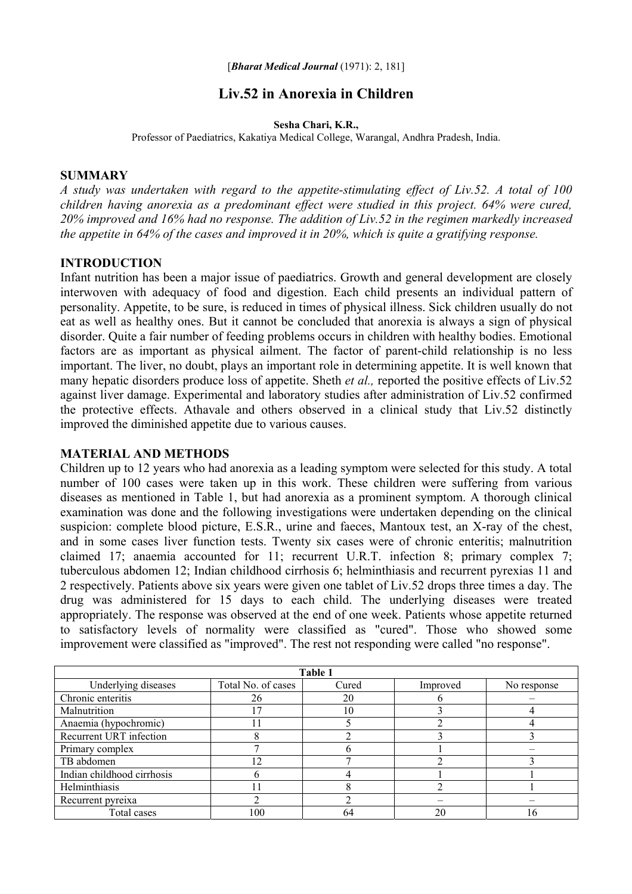# **Liv.52 in Anorexia in Children**

#### **Sesha Chari, K.R.,**

Professor of Paediatrics, Kakatiya Medical College, Warangal, Andhra Pradesh, India.

#### **SUMMARY**

*A study was undertaken with regard to the appetite-stimulating effect of Liv.52. A total of 100 children having anorexia as a predominant effect were studied in this project. 64% were cured, 20% improved and 16% had no response. The addition of Liv.52 in the regimen markedly increased the appetite in 64% of the cases and improved it in 20%, which is quite a gratifying response.* 

### **INTRODUCTION**

Infant nutrition has been a major issue of paediatrics. Growth and general development are closely interwoven with adequacy of food and digestion. Each child presents an individual pattern of personality. Appetite, to be sure, is reduced in times of physical illness. Sick children usually do not eat as well as healthy ones. But it cannot be concluded that anorexia is always a sign of physical disorder. Quite a fair number of feeding problems occurs in children with healthy bodies. Emotional factors are as important as physical ailment. The factor of parent-child relationship is no less important. The liver, no doubt, plays an important role in determining appetite. It is well known that many hepatic disorders produce loss of appetite. Sheth *et al.,* reported the positive effects of Liv.52 against liver damage. Experimental and laboratory studies after administration of Liv.52 confirmed the protective effects. Athavale and others observed in a clinical study that Liv.52 distinctly improved the diminished appetite due to various causes.

#### **MATERIAL AND METHODS**

Children up to 12 years who had anorexia as a leading symptom were selected for this study. A total number of 100 cases were taken up in this work. These children were suffering from various diseases as mentioned in Table 1, but had anorexia as a prominent symptom. A thorough clinical examination was done and the following investigations were undertaken depending on the clinical suspicion: complete blood picture, E.S.R., urine and faeces, Mantoux test, an X-ray of the chest, and in some cases liver function tests. Twenty six cases were of chronic enteritis; malnutrition claimed 17; anaemia accounted for 11; recurrent U.R.T. infection 8; primary complex 7; tuberculous abdomen 12; Indian childhood cirrhosis 6; helminthiasis and recurrent pyrexias 11 and 2 respectively. Patients above six years were given one tablet of Liv.52 drops three times a day. The drug was administered for 15 days to each child. The underlying diseases were treated appropriately. The response was observed at the end of one week. Patients whose appetite returned to satisfactory levels of normality were classified as "cured". Those who showed some improvement were classified as "improved". The rest not responding were called "no response".

| Table 1                    |                    |       |          |             |
|----------------------------|--------------------|-------|----------|-------------|
| Underlying diseases        | Total No. of cases | Cured | Improved | No response |
| Chronic enteritis          | 26                 | 20    |          |             |
| Malnutrition               |                    | 10    |          |             |
| Anaemia (hypochromic)      |                    |       |          |             |
| Recurrent URT infection    |                    |       |          |             |
| Primary complex            |                    |       |          |             |
| TB abdomen                 | 12                 |       |          |             |
| Indian childhood cirrhosis |                    |       |          |             |
| Helminthiasis              |                    |       |          |             |
| Recurrent pyreixa          |                    |       |          |             |
| Total cases                | 100                | 64    | 20       | 16          |